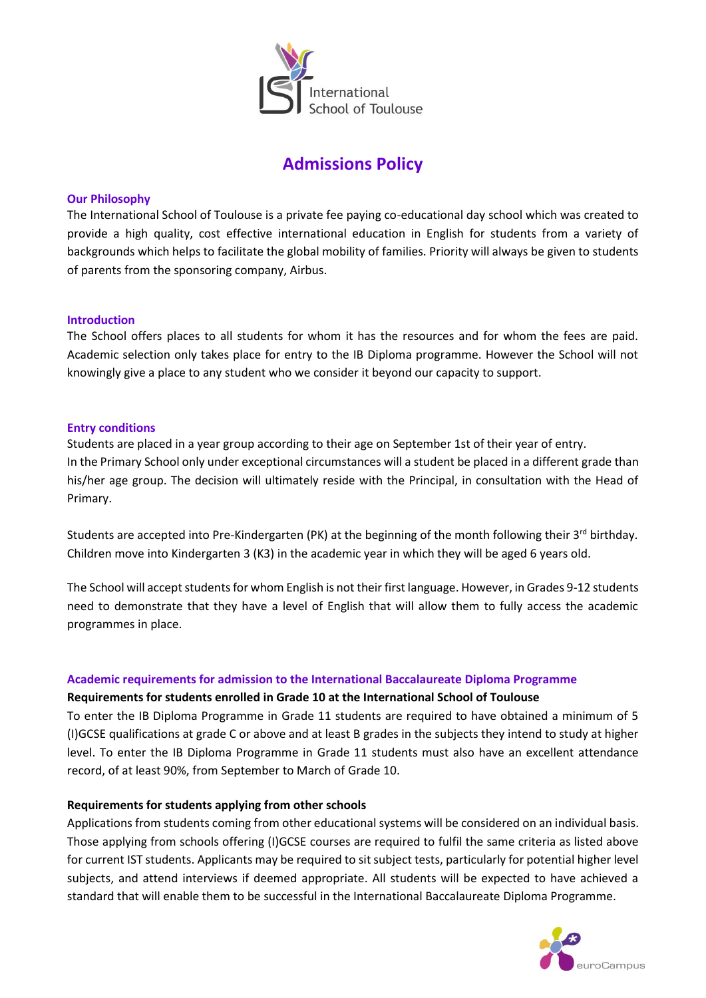

# **Admissions Policy**

## **Our Philosophy**

The International School of Toulouse is a private fee paying co-educational day school which was created to provide a high quality, cost effective international education in English for students from a variety of backgrounds which helps to facilitate the global mobility of families. Priority will always be given to students of parents from the sponsoring company, Airbus.

#### **Introduction**

The School offers places to all students for whom it has the resources and for whom the fees are paid. Academic selection only takes place for entry to the IB Diploma programme. However the School will not knowingly give a place to any student who we consider it beyond our capacity to support.

#### **Entry conditions**

Students are placed in a year group according to their age on September 1st of their year of entry. In the Primary School only under exceptional circumstances will a student be placed in a different grade than his/her age group. The decision will ultimately reside with the Principal, in consultation with the Head of Primary.

Students are accepted into Pre-Kindergarten (PK) at the beginning of the month following their 3rd birthday. Children move into Kindergarten 3 (K3) in the academic year in which they will be aged 6 years old.

The School will accept students for whom English is not their first language. However, in Grades 9-12 students need to demonstrate that they have a level of English that will allow them to fully access the academic programmes in place.

#### **Academic requirements for admission to the International Baccalaureate Diploma Programme**

#### **Requirements for students enrolled in Grade 10 at the International School of Toulouse**

To enter the IB Diploma Programme in Grade 11 students are required to have obtained a minimum of 5 (I)GCSE qualifications at grade C or above and at least B grades in the subjects they intend to study at higher level. To enter the IB Diploma Programme in Grade 11 students must also have an excellent attendance record, of at least 90%, from September to March of Grade 10.

#### **Requirements for students applying from other schools**

Applications from students coming from other educational systems will be considered on an individual basis. Those applying from schools offering (I)GCSE courses are required to fulfil the same criteria as listed above for current IST students. Applicants may be required to sit subject tests, particularly for potential higher level subjects, and attend interviews if deemed appropriate. All students will be expected to have achieved a standard that will enable them to be successful in the International Baccalaureate Diploma Programme.